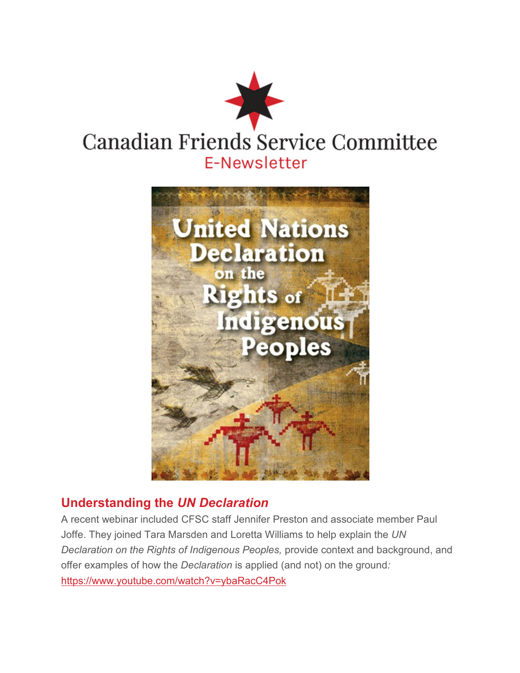



## **Understanding the** *UN Declaration*

A recent webinar included CFSC staff Jennifer Preston and associate member Paul Joffe. They joined Tara Marsden and Loretta Williams to help explain the *UN Declaration on the Rights of Indigenous Peoples,* provide context and background, and offer examples of how the *Declaration* is applied (and not) on the ground*:* https://www.youtube.com/watch?v=ybaRacC4Pok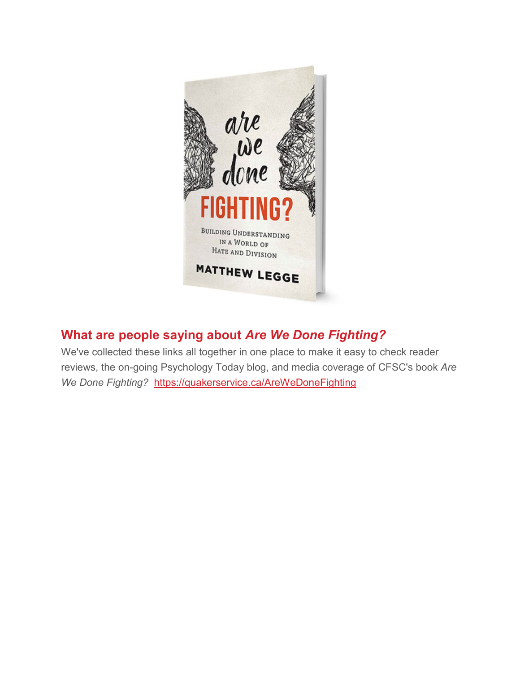

## **What are people saying about** *Are We Done Fighting?*

We've collected these links all together in one place to make it easy to check reader reviews, the on-going Psychology Today blog, and media coverage of CFSC's book *Are We Done Fighting?* https://quakerservice.ca/AreWeDoneFighting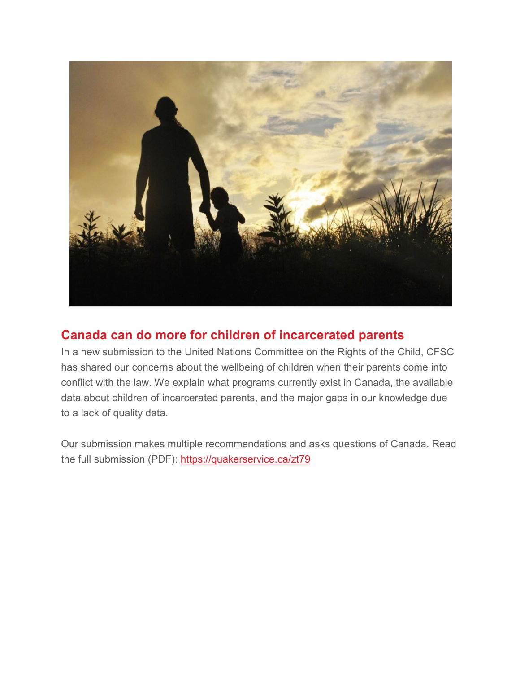

#### **Canada can do more for children of incarcerated parents**

In a new submission to the United Nations Committee on the Rights of the Child, CFSC has shared our concerns about the wellbeing of children when their parents come into conflict with the law. We explain what programs currently exist in Canada, the available data about children of incarcerated parents, and the major gaps in our knowledge due to a lack of quality data.

Our submission makes multiple recommendations and asks questions of Canada. Read the full submission (PDF): https://quakerservice.ca/zt79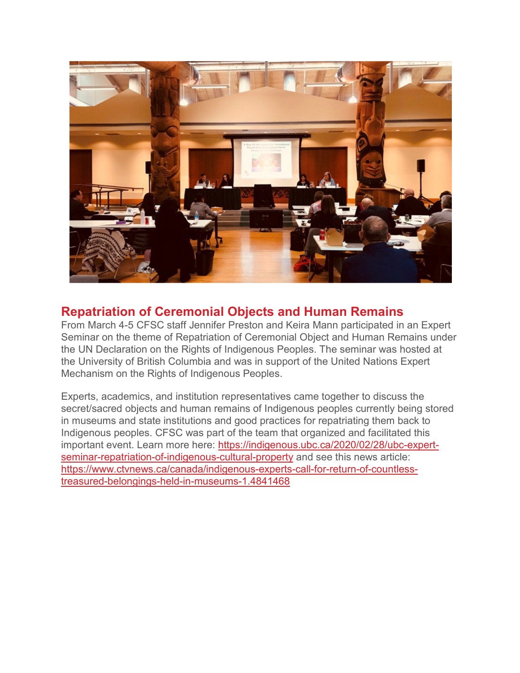

#### **Repatriation of Ceremonial Objects and Human Remains**

From March 4-5 CFSC staff Jennifer Preston and Keira Mann participated in an Expert Seminar on the theme of Repatriation of Ceremonial Object and Human Remains under the UN Declaration on the Rights of Indigenous Peoples. The seminar was hosted at the University of British Columbia and was in support of the United Nations Expert Mechanism on the Rights of Indigenous Peoples.

Experts, academics, and institution representatives came together to discuss the secret/sacred objects and human remains of Indigenous peoples currently being stored in museums and state institutions and good practices for repatriating them back to Indigenous peoples. CFSC was part of the team that organized and facilitated this important event. Learn more here: https://indigenous.ubc.ca/2020/02/28/ubc-expertseminar-repatriation-of-indigenous-cultural-property and see this news article: https://www.ctvnews.ca/canada/indigenous-experts-call-for-return-of-countlesstreasured-belongings-held-in-museums-1.4841468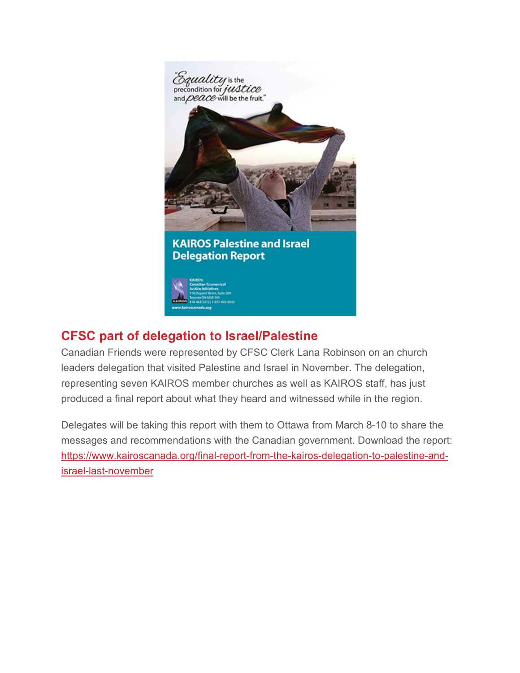

# **CFSC part of delegation to Israel/Palestine**

Canadian Friends were represented by CFSC Clerk Lana Robinson on an church leaders delegation that visited Palestine and Israel in November. The delegation, representing seven KAIROS member churches as well as KAIROS staff, has just produced a final report about what they heard and witnessed while in the region.

Delegates will be taking this report with them to Ottawa from March 8-10 to share the messages and recommendations with the Canadian government. Download the report: https://www.kairoscanada.org/final-report-from-the-kairos-delegation-to-palestine-andisrael-last-november